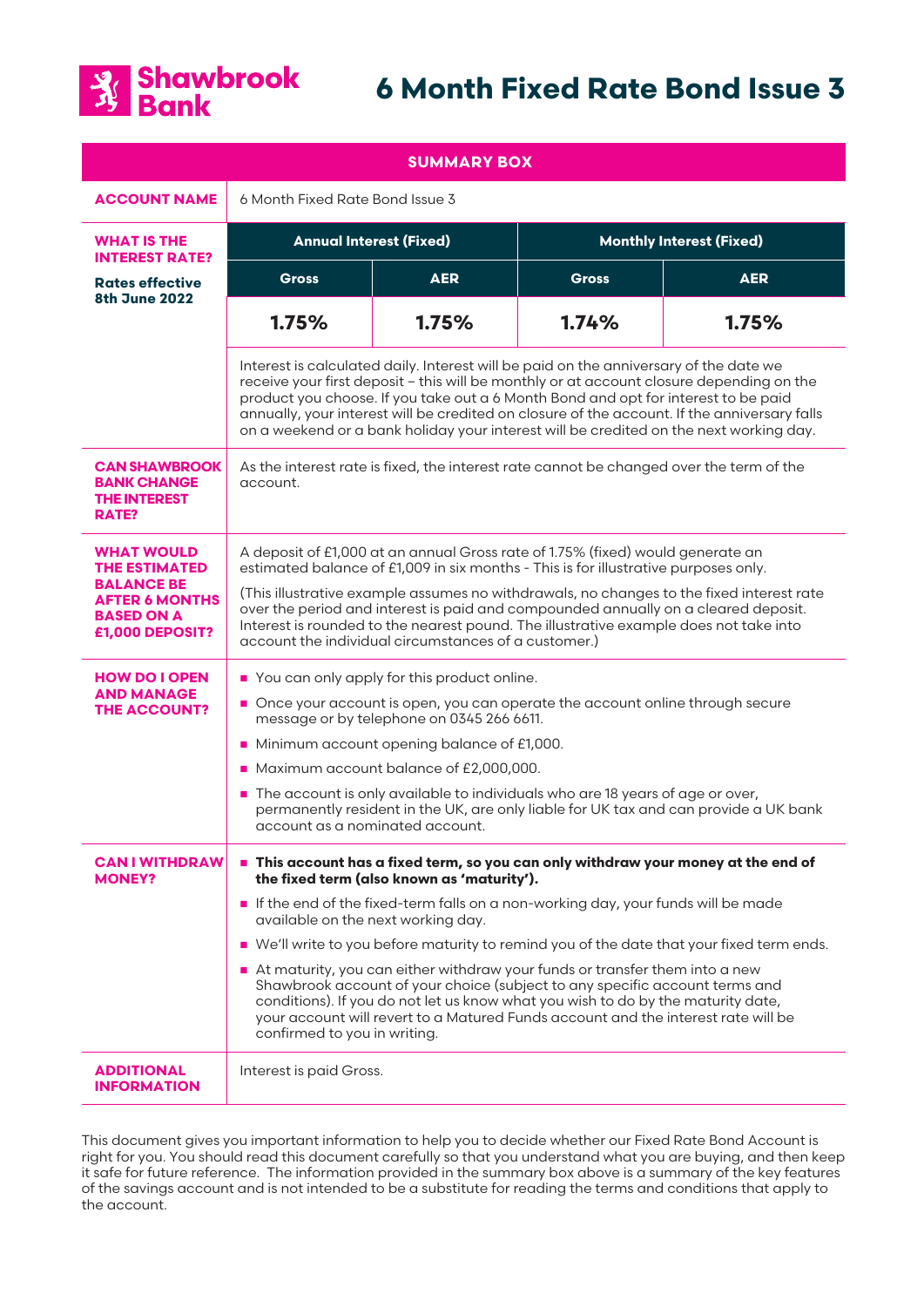

# **6 Month Fixed Rate Bond Issue 3**

| <b>SUMMARY BOX</b>                                                                                                              |                                                                                                                                                                                                                                                                                                                                                                                                                                                                                                                                                                                                                                                                                                                              |            |                                 |            |
|---------------------------------------------------------------------------------------------------------------------------------|------------------------------------------------------------------------------------------------------------------------------------------------------------------------------------------------------------------------------------------------------------------------------------------------------------------------------------------------------------------------------------------------------------------------------------------------------------------------------------------------------------------------------------------------------------------------------------------------------------------------------------------------------------------------------------------------------------------------------|------------|---------------------------------|------------|
| <b>ACCOUNT NAME</b>                                                                                                             | 6 Month Fixed Rate Bond Issue 3                                                                                                                                                                                                                                                                                                                                                                                                                                                                                                                                                                                                                                                                                              |            |                                 |            |
| <b>WHAT IS THE</b><br><b>INTEREST RATE?</b>                                                                                     | <b>Annual Interest (Fixed)</b>                                                                                                                                                                                                                                                                                                                                                                                                                                                                                                                                                                                                                                                                                               |            | <b>Monthly Interest (Fixed)</b> |            |
| <b>Rates effective</b><br><b>8th June 2022</b>                                                                                  | <b>Gross</b>                                                                                                                                                                                                                                                                                                                                                                                                                                                                                                                                                                                                                                                                                                                 | <b>AER</b> | <b>Gross</b>                    | <b>AER</b> |
|                                                                                                                                 | 1.75%                                                                                                                                                                                                                                                                                                                                                                                                                                                                                                                                                                                                                                                                                                                        | 1.75%      | 1.74%                           | 1.75%      |
|                                                                                                                                 | Interest is calculated daily. Interest will be paid on the anniversary of the date we<br>receive your first deposit - this will be monthly or at account closure depending on the<br>product you choose. If you take out a 6 Month Bond and opt for interest to be paid<br>annually, your interest will be credited on closure of the account. If the anniversary falls<br>on a weekend or a bank holiday your interest will be credited on the next working day.                                                                                                                                                                                                                                                            |            |                                 |            |
| <b>CAN SHAWBROOK</b><br><b>BANK CHANGE</b><br><b>THE INTEREST</b><br>RATE?                                                      | As the interest rate is fixed, the interest rate cannot be changed over the term of the<br>account.                                                                                                                                                                                                                                                                                                                                                                                                                                                                                                                                                                                                                          |            |                                 |            |
| <b>WHAT WOULD</b><br><b>THE ESTIMATED</b><br><b>BALANCE BE</b><br><b>AFTER 6 MONTHS</b><br><b>BASED ON A</b><br>£1,000 DEPOSIT? | A deposit of £1,000 at an annual Gross rate of 1.75% (fixed) would generate an<br>estimated balance of £1,009 in six months - This is for illustrative purposes only.<br>(This illustrative example assumes no withdrawals, no changes to the fixed interest rate<br>over the period and interest is paid and compounded annually on a cleared deposit.<br>Interest is rounded to the nearest pound. The illustrative example does not take into<br>account the individual circumstances of a customer.)                                                                                                                                                                                                                     |            |                                 |            |
| <b>HOW DO I OPEN</b><br><b>AND MANAGE</b><br><b>THE ACCOUNT?</b>                                                                | You can only apply for this product online.<br>Once your account is open, you can operate the account online through secure<br>message or by telephone on 0345 266 6611.<br>• Minimum account opening balance of £1,000.<br>Maximum account balance of £2,000,000.<br>■ The account is only available to individuals who are 18 years of age or over,<br>permanently resident in the UK, are only liable for UK tax and can provide a UK bank<br>account as a nominated account.                                                                                                                                                                                                                                             |            |                                 |            |
| <b>CAN I WITHDRAW</b><br><b>MONEY?</b>                                                                                          | This account has a fixed term, so you can only withdraw your money at the end of<br>the fixed term (also known as 'maturity').<br>If the end of the fixed-term falls on a non-working day, your funds will be made<br>available on the next working day.<br>■ We'll write to you before maturity to remind you of the date that your fixed term ends.<br>At maturity, you can either withdraw your funds or transfer them into a new<br>Shawbrook account of your choice (subject to any specific account terms and<br>conditions). If you do not let us know what you wish to do by the maturity date,<br>your account will revert to a Matured Funds account and the interest rate will be<br>confirmed to you in writing. |            |                                 |            |
| <b>ADDITIONAL</b><br><b>INFORMATION</b>                                                                                         | Interest is paid Gross.                                                                                                                                                                                                                                                                                                                                                                                                                                                                                                                                                                                                                                                                                                      |            |                                 |            |

This document gives you important information to help you to decide whether our Fixed Rate Bond Account is right for you. You should read this document carefully so that you understand what you are buying, and then keep it safe for future reference. The information provided in the summary box above is a summary of the key features of the savings account and is not intended to be a substitute for reading the terms and conditions that apply to the account.